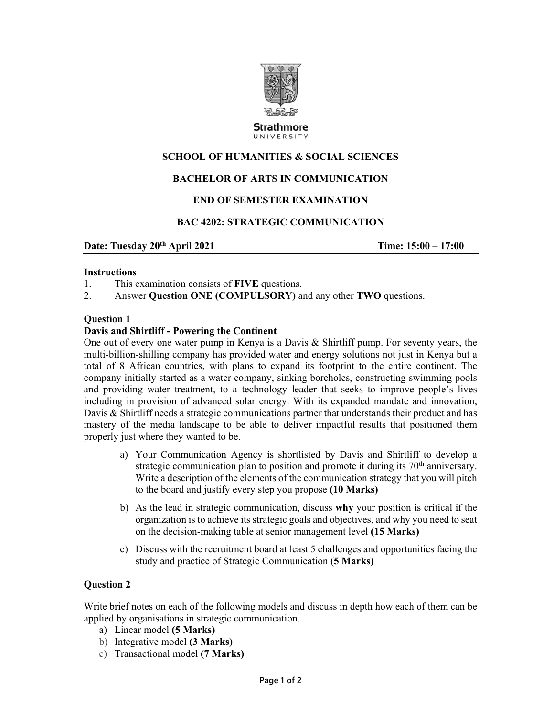

**Strathmore** UNIVERSITY

# **SCHOOL OF HUMANITIES & SOCIAL SCIENCES**

# **BACHELOR OF ARTS IN COMMUNICATION**

## **END OF SEMESTER EXAMINATION**

## **BAC 4202: STRATEGIC COMMUNICATION**

**Date: Tuesday 20<sup>th</sup> April 2021 12:00 17:00 17:00 17:00 17:00 17:00 17:00 17:00** 

#### **Instructions**

- 1. This examination consists of **FIVE** questions.
- 2. Answer **Question ONE (COMPULSORY)** and any other **TWO** questions.

#### **Question 1**

#### **Davis and Shirtliff - Powering the Continent**

One out of every one water pump in Kenya is a Davis & Shirtliff pump. For seventy years, the multi-billion-shilling company has provided water and energy solutions not just in Kenya but a total of 8 African countries, with plans to expand its footprint to the entire continent. The company initially started as a water company, sinking boreholes, constructing swimming pools and providing water treatment, to a technology leader that seeks to improve people's lives including in provision of advanced solar energy. With its expanded mandate and innovation, Davis & Shirtliff needs a strategic communications partner that understands their product and has mastery of the media landscape to be able to deliver impactful results that positioned them properly just where they wanted to be.

- a) Your Communication Agency is shortlisted by Davis and Shirtliff to develop a strategic communication plan to position and promote it during its 70<sup>th</sup> anniversary. Write a description of the elements of the communication strategy that you will pitch to the board and justify every step you propose **(10 Marks)**
- b) As the lead in strategic communication, discuss **why** your position is critical if the organization is to achieve its strategic goals and objectives, and why you need to seat on the decision-making table at senior management level **(15 Marks)**
- c) Discuss with the recruitment board at least 5 challenges and opportunities facing the study and practice of Strategic Communication (**5 Marks)**

## **Question 2**

Write brief notes on each of the following models and discuss in depth how each of them can be applied by organisations in strategic communication.

- a) Linear model **(5 Marks)**
- b) Integrative model **(3 Marks)**
- c) Transactional model **(7 Marks)**